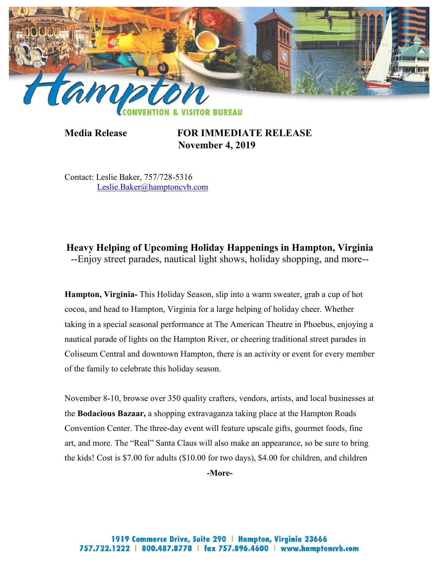

**Media Release FOR IMMEDIATE RELEASE November 4, 2019**

Contact: Leslie Baker, 757/728-5316 [Leslie.Baker@hamptoncvb.com](mailto:Leslie.Baker@hamptoncvb.com)

**Heavy Helping of Upcoming Holiday Happenings in Hampton, Virginia** --Enjoy street parades, nautical light shows, holiday shopping, and more--

**Hampton, Virginia-** This Holiday Season, slip into a warm sweater, grab a cup of hot cocoa, and head to Hampton, Virginia for a large helping of holiday cheer. Whether taking in a special seasonal performance at The American Theatre in Phoebus, enjoying a nautical parade of lights on the Hampton River, or cheering traditional street parades in Coliseum Central and downtown Hampton, there is an activity or event for every member of the family to celebrate this holiday season.

November 8-10, browse over 350 quality crafters, vendors, artists, and local businesses at the **Bodacious Bazaar,** a shopping extravaganza taking place at the Hampton Roads Convention Center. The three-day event will feature upscale gifts, gourmet foods, fine art, and more. The "Real" Santa Claus will also make an appearance, so be sure to bring the kids! Cost is \$7.00 for adults (\$10.00 for two days), \$4.00 for children, and children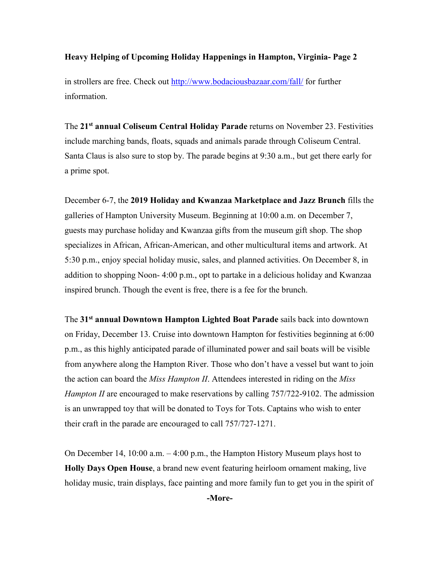in strollers are free. Check out<http://www.bodaciousbazaar.com/fall/> for further information.

The **21st annual Coliseum Central Holiday Parade** returns on November 23. Festivities include marching bands, floats, squads and animals parade through Coliseum Central. Santa Claus is also sure to stop by. The parade begins at 9:30 a.m., but get there early for a prime spot.

December 6-7, the **2019 Holiday and Kwanzaa Marketplace and Jazz Brunch** fills the galleries of Hampton University Museum. Beginning at 10:00 a.m. on December 7, guests may purchase holiday and Kwanzaa gifts from the museum gift shop. The shop specializes in African, African-American, and other multicultural items and artwork. At 5:30 p.m., enjoy special holiday music, sales, and planned activities. On December 8, in addition to shopping Noon- 4:00 p.m., opt to partake in a delicious holiday and Kwanzaa inspired brunch. Though the event is free, there is a fee for the brunch.

The **31st annual Downtown Hampton Lighted Boat Parade** sails back into downtown on Friday, December 13. Cruise into downtown Hampton for festivities beginning at 6:00 p.m., as this highly anticipated parade of illuminated power and sail boats will be visible from anywhere along the Hampton River. Those who don't have a vessel but want to join the action can board the *Miss Hampton II*. Attendees interested in riding on the *Miss Hampton II* are encouraged to make reservations by calling 757/722-9102. The admission is an unwrapped toy that will be donated to Toys for Tots. Captains who wish to enter their craft in the parade are encouraged to call 757/727-1271.

On December 14, 10:00 a.m. – 4:00 p.m., the Hampton History Museum plays host to **Holly Days Open House**, a brand new event featuring heirloom ornament making, live holiday music, train displays, face painting and more family fun to get you in the spirit of **-More-**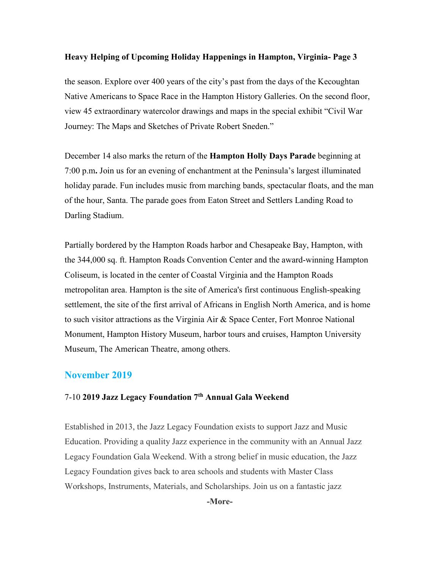the season. Explore over 400 years of the city's past from the days of the Kecoughtan Native Americans to Space Race in the Hampton History Galleries. On the second floor, view 45 extraordinary watercolor drawings and maps in the special exhibit "Civil War Journey: The Maps and Sketches of Private Robert Sneden."

December 14 also marks the return of the **Hampton Holly Days Parade** beginning at 7:00 p.m**.** Join us for an evening of enchantment at the Peninsula's largest illuminated holiday parade. Fun includes music from marching bands, spectacular floats, and the man of the hour, Santa. The parade goes from Eaton Street and Settlers Landing Road to Darling Stadium.

Partially bordered by the Hampton Roads harbor and Chesapeake Bay, Hampton, with the 344,000 sq. ft. Hampton Roads Convention Center and the award-winning Hampton Coliseum, is located in the center of Coastal Virginia and the Hampton Roads metropolitan area. Hampton is the site of America's first continuous English-speaking settlement, the site of the first arrival of Africans in English North America, and is home to such visitor attractions as the Virginia Air & Space Center, Fort Monroe National Monument, Hampton History Museum, harbor tours and cruises, Hampton University Museum, The American Theatre, among others.

### **November 2019**

## 7-10 **2019 Jazz Legacy Foundation 7th Annual Gala Weekend**

Established in 2013, the Jazz Legacy Foundation exists to support Jazz and Music Education. Providing a quality Jazz experience in the community with an Annual Jazz Legacy Foundation Gala Weekend. With a strong belief in music education, the Jazz Legacy Foundation gives back to area schools and students with Master Class Workshops, Instruments, Materials, and Scholarships. Join us on a fantastic jazz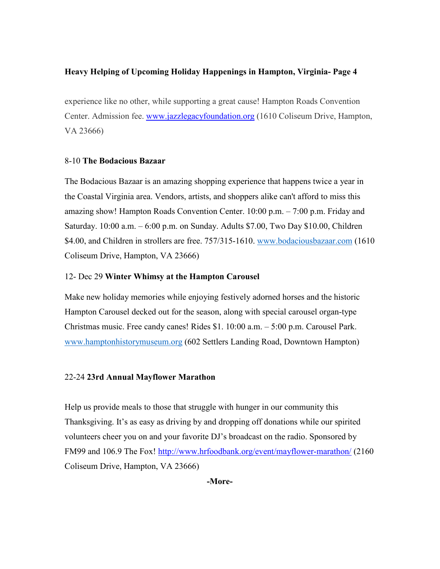experience like no other, while supporting a great cause! Hampton Roads Convention Center. Admission fee. [www.jazzlegacyfoundation.org](http://www.jazzlegacyfoundation.org/) (1610 Coliseum Drive, Hampton, VA 23666)

### 8-10 **The Bodacious Bazaar**

The Bodacious Bazaar is an amazing shopping experience that happens twice a year in the Coastal Virginia area. Vendors, artists, and shoppers alike can't afford to miss this amazing show! Hampton Roads Convention Center. 10:00 p.m. – 7:00 p.m. Friday and Saturday. 10:00 a.m. – 6:00 p.m. on Sunday. Adults \$7.00, Two Day \$10.00, Children \$4.00, and Children in strollers are free. 757/315-1610. [www.bodaciousbazaar.com](http://www.bodaciousbazaar.com/) (1610) Coliseum Drive, Hampton, VA 23666)

### 12- Dec 29 **Winter Whimsy at the Hampton Carousel**

Make new holiday memories while enjoying festively adorned horses and the historic Hampton Carousel decked out for the season, along with special carousel organ-type Christmas music. Free candy canes! Rides \$1. 10:00 a.m. – 5:00 p.m. Carousel Park. [www.hamptonhistorymuseum.org](http://www.hamptonhistorymuseum.org/) (602 Settlers Landing Road, Downtown Hampton)

## 22-24 **23rd Annual Mayflower Marathon**

Help us provide meals to those that struggle with hunger in our community this Thanksgiving. It's as easy as driving by and dropping off donations while our spirited volunteers cheer you on and your favorite DJ's broadcast on the radio. Sponsored by [FM99](https://www.google.com/url?sa=t&rct=j&q=&esrc=s&source=web&cd=1&cad=rja&ved=0CC8QFjAA&url=http%3A%2F%2Ffm99.com%2F&ei=bv1CUqfYKIeo4APvooFo&usg=AFQjCNFcSNSON3GIRfp5AIsdA-D0lrkJ6Q&sig2=TtnbUR5DPQkcuHx8jaLSYA&bvm=bv.53077864,d.dmg) and [106.9 The Fox!](https://www.google.com/url?sa=t&rct=j&q=&esrc=s&source=web&cd=1&cad=rja&sqi=2&ved=0CC0QFjAA&url=http%3A%2F%2F1069thefox.com%2F&ei=kv1CUr_GBZLJ4APGpIGgAg&usg=AFQjCNGEG6diKQOr0n8DlGJN6CLXZ8FT6Q&sig2=80xGkvJVlbbzYGFtH--Kow&bvm=bv.53077864,d.dmg)<http://www.hrfoodbank.org/event/mayflower-marathon/> (2160 Coliseum Drive, Hampton, VA 23666)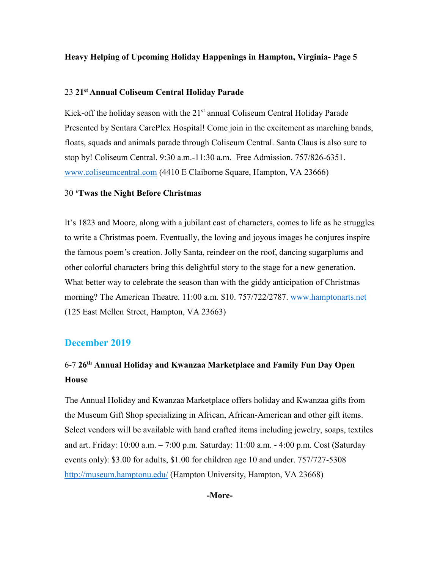### 23 **21st Annual Coliseum Central Holiday Parade**

Kick-off the holiday season with the  $21<sup>st</sup>$  annual Coliseum Central Holiday Parade Presented by Sentara CarePlex Hospital! Come join in the excitement as marching bands, floats, squads and animals parade through Coliseum Central. Santa Claus is also sure to stop by! Coliseum Central. 9:30 a.m.-11:30 a.m. Free Admission. 757/826-6351. [www.coliseumcentral.com](http://www.coliseumcentral.com/) (4410 E Claiborne Square, Hampton, VA 23666)

### 30 **'Twas the Night Before Christmas**

It's 1823 and Moore, along with a jubilant cast of characters, comes to life as he struggles to write a Christmas poem. Eventually, the loving and joyous images he conjures inspire the famous poem's creation. Jolly Santa, reindeer on the roof, dancing sugarplums and other colorful characters bring this delightful story to the stage for a new generation. What better way to celebrate the season than with the giddy anticipation of Christmas morning? The American Theatre. 11:00 a.m. \$10. 757/722/2787. [www.hamptonarts.net](http://www.hamptonarts.net/) (125 East Mellen Street, Hampton, VA 23663)

### **December 2019**

# 6-7 **26th Annual Holiday and Kwanzaa Marketplace and Family Fun Day Open House**

The Annual Holiday and Kwanzaa Marketplace offers holiday and Kwanzaa gifts from the Museum Gift Shop specializing in African, African-American and other gift items. Select vendors will be available with hand crafted items including jewelry, soaps, textiles and art. Friday: 10:00 a.m. – 7:00 p.m. Saturday: 11:00 a.m. - 4:00 p.m. Cost (Saturday events only): \$3.00 for adults, \$1.00 for children age 10 and under. 757/727-5308 <http://museum.hamptonu.edu/> (Hampton University, Hampton, VA 23668)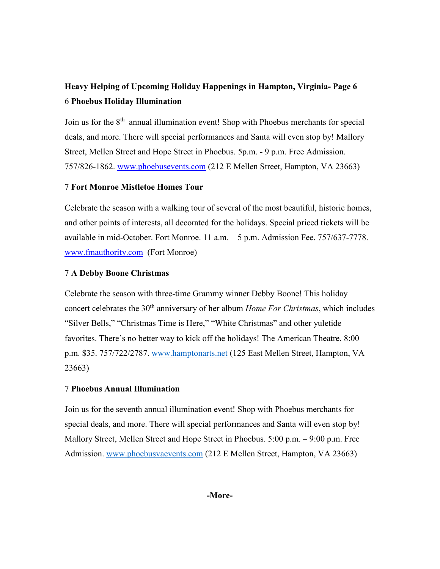# **Heavy Helping of Upcoming Holiday Happenings in Hampton, Virginia- Page 6** 6 **Phoebus Holiday Illumination**

Join us for the  $8<sup>th</sup>$  annual illumination event! Shop with Phoebus merchants for special deals, and more. There will special performances and Santa will even stop by! Mallory Street, Mellen Street and Hope Street in Phoebus. 5p.m. - 9 p.m. Free Admission. 757/826-1862. [www.phoebusevents.com](http://www.phoebusevents.com/) (212 E Mellen Street, Hampton, VA 23663)

### 7 **Fort Monroe Mistletoe Homes Tour**

Celebrate the season with a walking tour of several of the most beautiful, historic homes, and other points of interests, all decorated for the holidays. Special priced tickets will be available in mid-October. Fort Monroe. 11 a.m. – 5 p.m. Admission Fee. 757/637-7778. [www.fmauthority.com](http://www.fmauthority.com/) (Fort Monroe)

### 7 **A Debby Boone Christmas**

Celebrate the season with three-time Grammy winner Debby Boone! This holiday concert celebrates the 30th anniversary of her album *Home For Christmas*, which includes "Silver Bells," "Christmas Time is Here," "White Christmas" and other yuletide favorites. There's no better way to kick off the holidays! The American Theatre. 8:00 p.m. \$35. 757/722/2787. [www.hamptonarts.net](http://www.hamptonarts.net/) (125 East Mellen Street, Hampton, VA 23663)

## 7 **Phoebus Annual Illumination**

Join us for the seventh annual illumination event! Shop with Phoebus merchants for special deals, and more. There will special performances and Santa will even stop by! Mallory Street, Mellen Street and Hope Street in Phoebus. 5:00 p.m. – 9:00 p.m. Free Admission. [www.phoebusvaevents.com](http://www.phoebusvaevents.com/) (212 E Mellen Street, Hampton, VA 23663)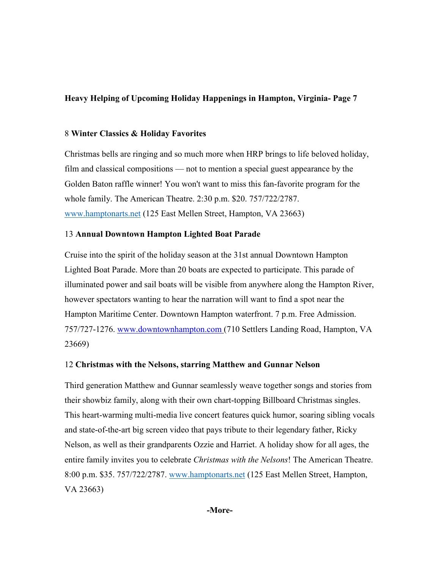## 8 **Winter Classics & Holiday Favorites**

Christmas bells are ringing and so much more when HRP brings to life beloved holiday, film and classical compositions — not to mention a special guest appearance by the Golden Baton raffle winner! You won't want to miss this fan-favorite program for the whole family. The American Theatre. 2:30 p.m. \$20. 757/722/2787. [www.hamptonarts.net](http://www.hamptonarts.net/) (125 East Mellen Street, Hampton, VA 23663)

## 13 **Annual Downtown Hampton Lighted Boat Parade**

Cruise into the spirit of the holiday season at the 31st annual Downtown Hampton Lighted Boat Parade. More than 20 boats are expected to participate. This parade of illuminated power and sail boats will be visible from anywhere along the Hampton River, however spectators wanting to hear the narration will want to find a spot near the Hampton Maritime Center. Downtown Hampton waterfront. 7 p.m. Free Admission. 757/727-1276. [www.downtownhampton.com](http://www.downtownhampton.com/) (710 Settlers Landing Road, Hampton, VA 23669)

## 12 **Christmas with the Nelsons, starring Matthew and Gunnar Nelson**

Third generation Matthew and Gunnar seamlessly weave together songs and stories from their showbiz family, along with their own chart-topping Billboard Christmas singles. This heart-warming multi-media live concert features quick humor, soaring sibling vocals and state-of-the-art big screen video that pays tribute to their legendary father, Ricky Nelson, as well as their grandparents Ozzie and Harriet. A holiday show for all ages, the entire family invites you to celebrate *Christmas with the Nelsons*! The American Theatre. 8:00 p.m. \$35. 757/722/2787. [www.hamptonarts.net](http://www.hamptonarts.net/) (125 East Mellen Street, Hampton, VA 23663)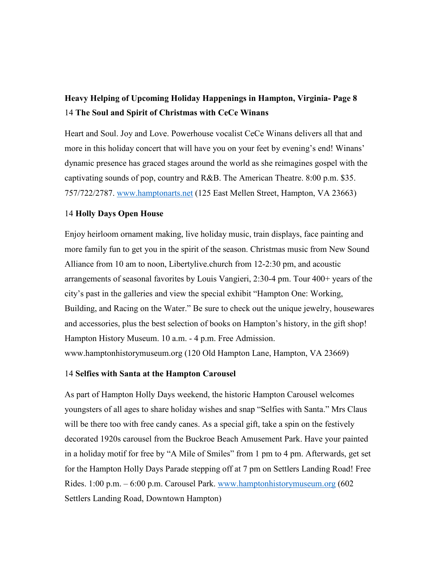# **Heavy Helping of Upcoming Holiday Happenings in Hampton, Virginia- Page 8** 14 **The Soul and Spirit of Christmas with CeCe Winans**

Heart and Soul. Joy and Love. Powerhouse vocalist CeCe Winans delivers all that and more in this holiday concert that will have you on your feet by evening's end! Winans' dynamic presence has graced stages around the world as she reimagines gospel with the captivating sounds of pop, country and R&B. The American Theatre. 8:00 p.m. \$35. 757/722/2787. [www.hamptonarts.net](http://www.hamptonarts.net/) (125 East Mellen Street, Hampton, VA 23663)

### 14 **Holly Days Open House**

Enjoy heirloom ornament making, live holiday music, train displays, face painting and more family fun to get you in the spirit of the season. Christmas music from New Sound Alliance from 10 am to noon, Libertylive.church from 12-2:30 pm, and acoustic arrangements of seasonal favorites by Louis Vangieri, 2:30-4 pm. Tour 400+ years of the city's past in the galleries and view the special exhibit "Hampton One: Working, Building, and Racing on the Water." Be sure to check out the unique jewelry, housewares and accessories, plus the best selection of books on Hampton's history, in the gift shop! Hampton History Museum. 10 a.m. - 4 p.m. Free Admission. www.hamptonhistorymuseum.org (120 Old Hampton Lane, Hampton, VA 23669)

### 14 **Selfies with Santa at the Hampton Carousel**

As part of Hampton Holly Days weekend, the historic Hampton Carousel welcomes youngsters of all ages to share holiday wishes and snap "Selfies with Santa." Mrs Claus will be there too with free candy canes. As a special gift, take a spin on the festively decorated 1920s carousel from the Buckroe Beach Amusement Park. Have your painted in a holiday motif for free by "A Mile of Smiles" from 1 pm to 4 pm. Afterwards, get set for the Hampton Holly Days Parade stepping off at 7 pm on Settlers Landing Road! Free Rides. 1:00 p.m. – 6:00 p.m. Carousel Park. [www.hamptonhistorymuseum.org](http://www.hamptonhistorymuseum.org/) (602 Settlers Landing Road, Downtown Hampton)